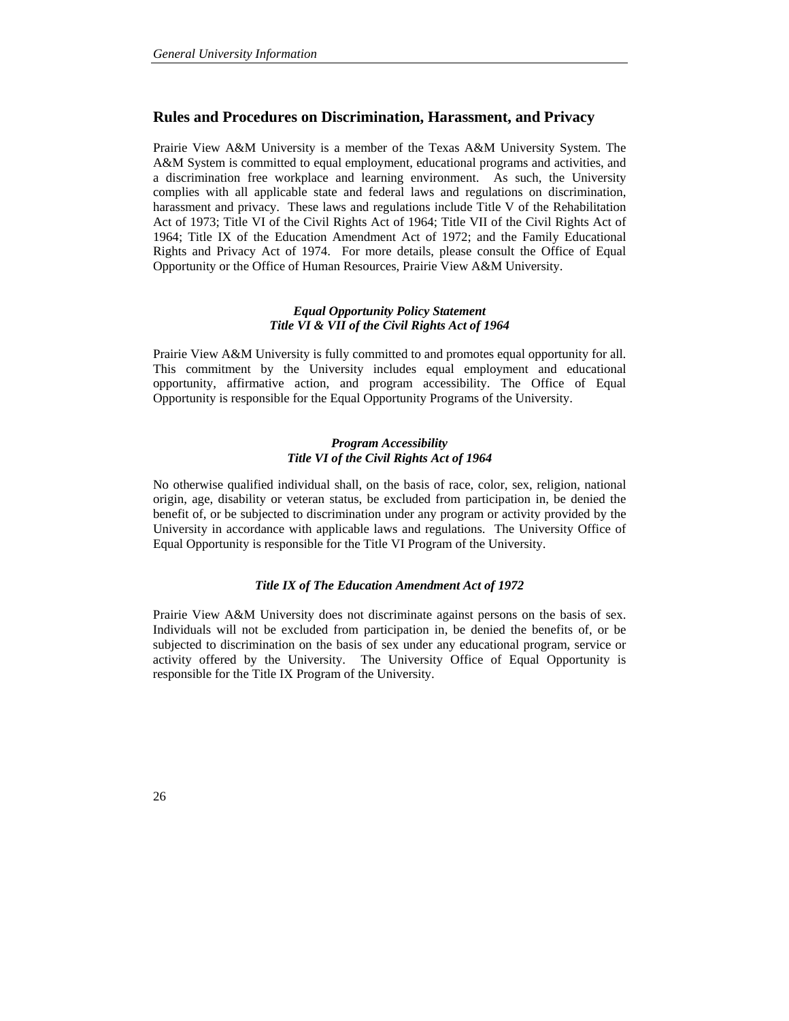# **Rules and Procedures on Discrimination, Harassment, and Privacy**

Prairie View A&M University is a member of the Texas A&M University System. The A&M System is committed to equal employment, educational programs and activities, and a discrimination free workplace and learning environment. As such, the University complies with all applicable state and federal laws and regulations on discrimination, harassment and privacy. These laws and regulations include Title V of the Rehabilitation Act of 1973; Title VI of the Civil Rights Act of 1964; Title VII of the Civil Rights Act of 1964; Title IX of the Education Amendment Act of 1972; and the Family Educational Rights and Privacy Act of 1974. For more details, please consult the Office of Equal Opportunity or the Office of Human Resources, Prairie View A&M University.

# *Equal Opportunity Policy Statement Title VI & VII of the Civil Rights Act of 1964*

Prairie View A&M University is fully committed to and promotes equal opportunity for all. This commitment by the University includes equal employment and educational opportunity, affirmative action, and program accessibility. The Office of Equal Opportunity is responsible for the Equal Opportunity Programs of the University.

### *Program Accessibility Title VI of the Civil Rights Act of 1964*

No otherwise qualified individual shall, on the basis of race, color, sex, religion, national origin, age, disability or veteran status, be excluded from participation in, be denied the benefit of, or be subjected to discrimination under any program or activity provided by the University in accordance with applicable laws and regulations. The University Office of Equal Opportunity is responsible for the Title VI Program of the University.

### *Title IX of The Education Amendment Act of 1972*

Prairie View A&M University does not discriminate against persons on the basis of sex. Individuals will not be excluded from participation in, be denied the benefits of, or be subjected to discrimination on the basis of sex under any educational program, service or activity offered by the University. The University Office of Equal Opportunity is responsible for the Title IX Program of the University.

26